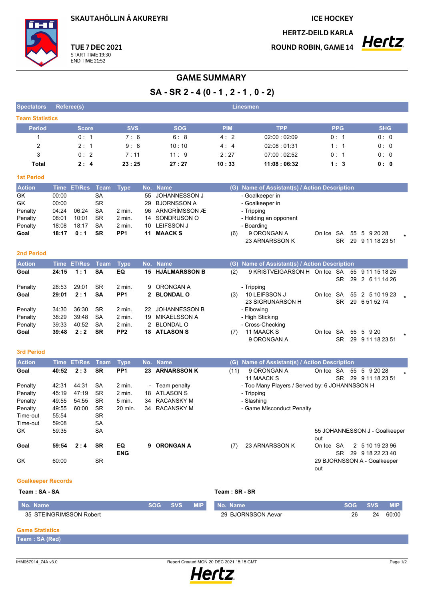**SKAUTAHÖLLIN Á AKUREYRI** 

**ICE HOCKEY** 

**HERTZ-DEILD KARLA** 

**ROUND ROBIN, GAME 14** 



## **GAME SUMMARY**

 $SA - SR 2 - 4 (0 - 1, 2 - 1, 0 - 2)$ 

| <b>Spectators</b>         |       | Referee(s)         |                     |                  |             |                                  |               | <b>Linesmen</b>                                |                 |                                        |  |
|---------------------------|-------|--------------------|---------------------|------------------|-------------|----------------------------------|---------------|------------------------------------------------|-----------------|----------------------------------------|--|
| <b>Team Statistics</b>    |       |                    |                     |                  |             |                                  |               |                                                |                 |                                        |  |
| <b>Period</b>             |       | Score              |                     | <b>SVS</b>       |             | <b>SOG</b>                       | <b>PIM</b>    | <b>TPP</b>                                     | <b>PPG</b>      | <b>SHG</b>                             |  |
| 1                         |       | 0:1                |                     | 7:6              |             | 6:8                              | 4:2           | 02:00:02:09                                    | 0: 1            | 0:0                                    |  |
| 2                         |       | 2:1                | 9:8<br>10:10<br>4:4 |                  | 02:08 01:31 | 1:1                              | 0: 0          |                                                |                 |                                        |  |
| 3                         |       | 0:2                |                     | 7:11             |             | 11:9<br>2:27<br>07:00:02:52      |               |                                                | 0: 1            | 0:0                                    |  |
| Total                     |       | 2:4                |                     | 23:25            |             | 27:27                            | 10:33         | 11:08:06:32                                    | 1:3             | 0: 0                                   |  |
| <b>1st Period</b>         |       |                    |                     |                  |             |                                  |               |                                                |                 |                                        |  |
| <b>Action</b>             |       | Time ET/Res        | <b>Team</b>         | <b>Type</b>      | No.         | <b>Name</b>                      |               | (G) Name of Assistant(s) / Action Description  |                 |                                        |  |
| GK                        | 00:00 |                    | <b>SA</b>           |                  | 55          | JOHANNESSON J                    |               | - Goalkeeper in                                |                 |                                        |  |
| GK                        | 00:00 |                    | <b>SR</b>           |                  | 29          | <b>BJORNSSON A</b>               |               | - Goalkeeper in                                |                 |                                        |  |
| Penalty                   | 04:24 | 06:24              | SA                  | 2 min.           | 96          | ARNGRÍMSSON Æ                    |               | - Tripping                                     |                 |                                        |  |
| Penalty                   | 08:01 | 10:01              | <b>SR</b>           | 2 min.           | 14          | SONDRUSON O                      |               | - Holding an opponent                          |                 |                                        |  |
| Penalty                   | 18:08 | 18:17              | <b>SA</b>           | 2 min.           | 10          | <b>LEIFSSON J</b>                |               | - Boarding                                     |                 |                                        |  |
| Goal                      | 18:17 | 0:1                | <b>SR</b>           | PP <sub>1</sub>  | 11          | <b>MAACKS</b>                    | (6)           | 9 ORONGAN A                                    | On Ice SA       | 55 5 9 20 28                           |  |
|                           |       |                    |                     |                  |             |                                  |               | 23 ARNARSSON K                                 | SR.             | 29 9 11 18 23 51                       |  |
| <b>2nd Period</b>         |       |                    |                     |                  |             |                                  |               |                                                |                 |                                        |  |
| <b>Action</b>             |       | <b>Time ET/Res</b> | <b>Team</b>         | <b>Type</b>      |             | No. Name                         |               | (G) Name of Assistant(s) / Action Description  |                 |                                        |  |
| Goal                      | 24:15 | 1:1                | <b>SA</b>           | EQ               |             | 15 HJÁLMARSSON B                 | (2)           | 9 KRISTVEIGARSON H On Ice SA                   |                 | 55 9 11 15 18 25                       |  |
|                           |       |                    |                     |                  |             |                                  |               |                                                | <b>SR</b>       | 29<br>2 6 11 14 26                     |  |
| Penalty                   | 28:53 | 29:01              | <b>SR</b>           | 2 min.           | 9           | ORONGAN A                        |               | - Tripping                                     |                 |                                        |  |
| Goal                      | 29:01 | 2:1                | <b>SA</b>           | PP <sub>1</sub>  |             | 2 BLONDAL O                      | (3)           | 10 LEIFSSON J                                  | On Ice SA       | 55 2 5 10 19 23                        |  |
|                           | 34:30 | 36:30              | <b>SR</b>           | $2$ min.         | 22          | <b>JOHANNESSON B</b>             |               | 23 SIGRUNARSON H                               | SR.             | 29 6 51 52 74                          |  |
| Penalty<br>Penalty        | 38:29 | 39.48              | <b>SA</b>           | $2$ min.         | 19          | MIKAELSSON A                     |               | - Elbowing<br>- High Sticking                  |                 |                                        |  |
| Penalty                   | 39:33 | 40:52              | SA                  | 2 min.           |             | 2 BLONDAL O                      |               | - Cross-Checking                               |                 |                                        |  |
| Goal                      | 39:48 | 2:2                | SR                  | PP <sub>2</sub>  |             | <b>18 ATLASON S</b>              | (7)           | 11 MAACK S                                     | On Ice SA       | 55 5 9 20                              |  |
|                           |       |                    |                     |                  |             |                                  |               | 9 ORONGAN A                                    | SR.             | 29 9 11 18 23 51                       |  |
|                           |       |                    |                     |                  |             |                                  |               |                                                |                 |                                        |  |
| <b>3rd Period</b>         |       |                    |                     |                  |             |                                  |               |                                                |                 |                                        |  |
| <b>Action</b>             |       | <b>Time ET/Res</b> | <b>Team</b>         | <b>Type</b>      |             | No. Name                         |               | (G) Name of Assistant(s) / Action Description  |                 |                                        |  |
| Goal                      | 40:52 | 2:3                | <b>SR</b>           | PP <sub>1</sub>  |             | 23 ARNARSSON K                   | (11)          | 9 ORONGAN A<br>11 MAACK S                      | On Ice SA<br>SR | 55 5 9 20 28                           |  |
| Penalty                   | 42:31 | 44:31              | SA                  | 2 min.           |             | Team penalty                     |               | - Too Many Players / Served by: 6 JOHANNSSON H |                 | 29 9 11 18 23 51                       |  |
| Penalty                   | 45:19 | 47:19              | <b>SR</b>           | 2 min.           | 18          | <b>ATLASON S</b>                 |               | - Tripping                                     |                 |                                        |  |
| Penalty                   | 49.55 | 54:55              | SR                  | 5 min.           | 34          | <b>RACANSKY M</b>                |               | - Slashing                                     |                 |                                        |  |
| Penalty                   | 49:55 | 60:00              | <b>SR</b>           | 20 min.          | 34          | <b>RACANSKY M</b>                |               | - Game Misconduct Penalty                      |                 |                                        |  |
| Time-out                  | 55:54 |                    | <b>SR</b>           |                  |             |                                  |               |                                                |                 |                                        |  |
| Time-out                  | 59:08 |                    | SA                  |                  |             |                                  |               |                                                |                 |                                        |  |
| GK                        | 59:35 |                    | <b>SA</b>           |                  |             |                                  |               |                                                |                 | 55 JOHANNESSON J - Goalkeeper          |  |
|                           |       |                    |                     |                  |             |                                  |               |                                                | out             |                                        |  |
| Goal                      | 59:54 | 2:4                | <b>SR</b>           | EQ<br><b>ENG</b> |             | 9 ORONGAN A                      | (7)           | 23 ARNARSSON K                                 | On Ice SA       | 2 5 10 19 23 96<br>SR 29 9 18 22 23 40 |  |
| GK                        | 60:00 |                    | SR                  |                  |             |                                  |               |                                                |                 | 29 BJORNSSON A - Goalkeeper            |  |
|                           |       |                    |                     |                  |             |                                  |               |                                                | out             |                                        |  |
| <b>Goalkeeper Records</b> |       |                    |                     |                  |             |                                  |               |                                                |                 |                                        |  |
| Team: SA - SA             |       |                    |                     |                  |             |                                  | Team: SR - SR |                                                |                 |                                        |  |
| No Namo                   |       |                    |                     |                  |             | SOG.<br><b>SVS</b><br><b>MID</b> | No Namo       |                                                |                 | SUP SUR<br><b>MIP</b>                  |  |

| No. Name                | <b>SOG</b> | <b>SVS</b> | <b>MIP</b> | I No. Name         | <b>SOG</b> | <b>SVS</b> | <b>MIP</b> |
|-------------------------|------------|------------|------------|--------------------|------------|------------|------------|
| 35 STEINGRIMSSON Robert |            |            |            | 29 BJORNSSON Aevar | 26         | 24         | 60:00      |
|                         |            |            |            |                    |            |            |            |

## **Game Statistics**

| Team: SA (Red) |  |  |  |
|----------------|--|--|--|
|----------------|--|--|--|